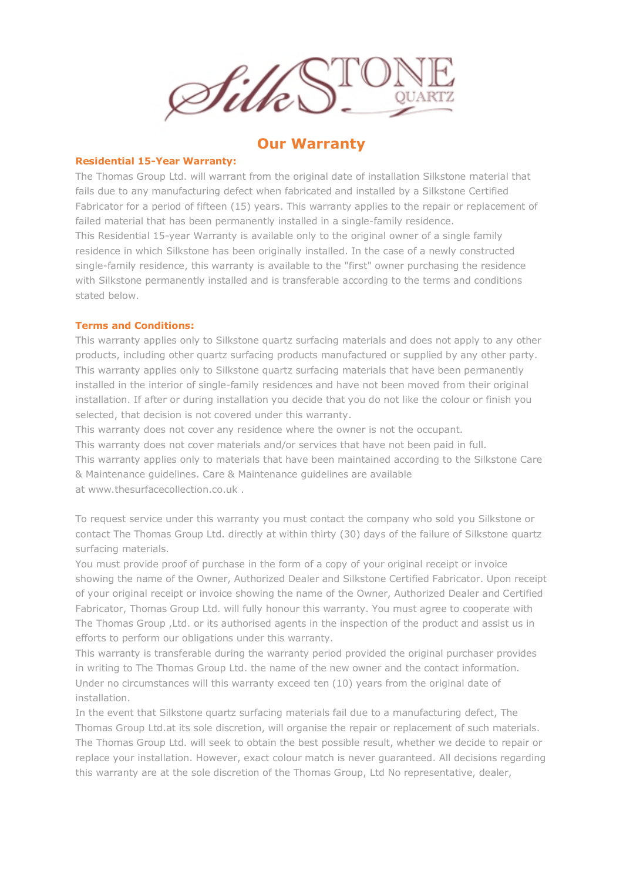

## **Our Warranty**

## **Residential 15-Year Warranty:**

The Thomas Group Ltd. will warrant from the original date of installation Silkstone material that fails due to any manufacturing defect when fabricated and installed by a Silkstone Certified Fabricator for a period of fifteen (15) years. This warranty applies to the repair or replacement of failed material that has been permanently installed in a single-family residence. This Residential 15-year Warranty is available only to the original owner of a single family residence in which Silkstone has been originally installed. In the case of a newly constructed single-family residence, this warranty is available to the "first" owner purchasing the residence with Silkstone permanently installed and is transferable according to the terms and conditions stated below.

## **Terms and Conditions:**

This warranty applies only to Silkstone quartz surfacing materials and does not apply to any other products, including other quartz surfacing products manufactured or supplied by any other party. This warranty applies only to Silkstone quartz surfacing materials that have been permanently installed in the interior of single-family residences and have not been moved from their original installation. If after or during installation you decide that you do not like the colour or finish you selected, that decision is not covered under this warranty.

This warranty does not cover any residence where the owner is not the occupant.

This warranty does not cover materials and/or services that have not been paid in full. This warranty applies only to materials that have been maintained according to the Silkstone Care & Maintenance guidelines. Care & Maintenance guidelines are available at www.thesurfacecollection.co.uk

To request service under this warranty you must contact the company who sold you Silkstone or contact The Thomas Group Ltd. directly at within thirty (30) days of the failure of Silkstone quartz surfacing materials.

You must provide proof of purchase in the form of a copy of your original receipt or invoice showing the name of the Owner, Authorized Dealer and Silkstone Certified Fabricator. Upon receipt of your original receipt or invoice showing the name of the Owner, Authorized Dealer and Certified Fabricator, Thomas Group Ltd. will fully honour this warranty. You must agree to cooperate with The Thomas Group ,Ltd. or its authorised agents in the inspection of the product and assist us in efforts to perform our obligations under this warranty.

This warranty is transferable during the warranty period provided the original purchaser provides in writing to The Thomas Group Ltd. the name of the new owner and the contact information. Under no circumstances will this warranty exceed ten (10) years from the original date of installation.

In the event that Silkstone quartz surfacing materials fail due to a manufacturing defect, The Thomas Group Ltd.at its sole discretion, will organise the repair or replacement of such materials. The Thomas Group Ltd. will seek to obtain the best possible result, whether we decide to repair or replace your installation. However, exact colour match is never guaranteed. All decisions regarding this warranty are at the sole discretion of the Thomas Group, Ltd No representative, dealer,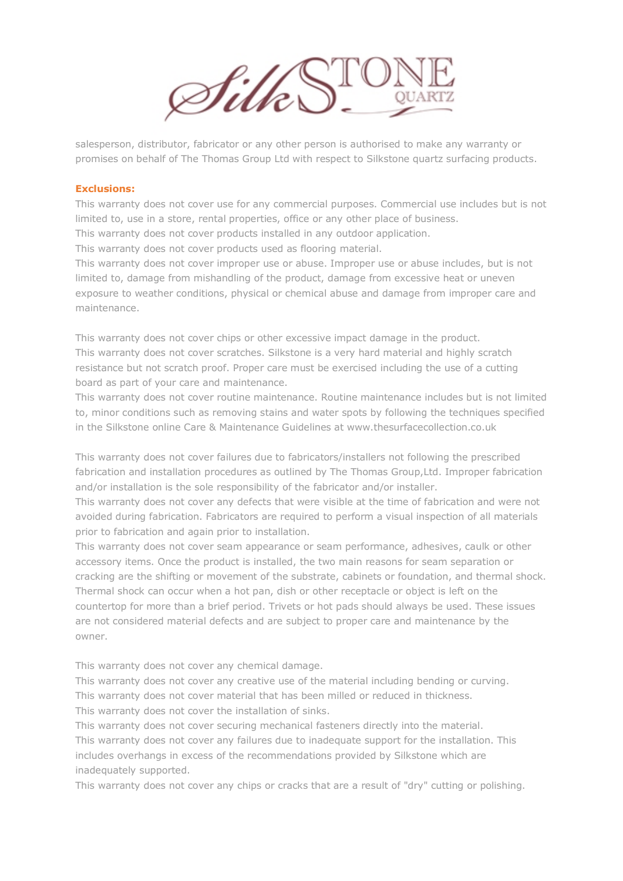

salesperson, distributor, fabricator or any other person is authorised to make any warranty or promises on behalf of The Thomas Group Ltd with respect to Silkstone quartz surfacing products.

## **Exclusions:**

This warranty does not cover use for any commercial purposes. Commercial use includes but is not limited to, use in a store, rental properties, office or any other place of business. This warranty does not cover products installed in any outdoor application.

This warranty does not cover products used as flooring material.

This warranty does not cover improper use or abuse. Improper use or abuse includes, but is not limited to, damage from mishandling of the product, damage from excessive heat or uneven exposure to weather conditions, physical or chemical abuse and damage from improper care and maintenance.

This warranty does not cover chips or other excessive impact damage in the product. This warranty does not cover scratches. Silkstone is a very hard material and highly scratch resistance but not scratch proof. Proper care must be exercised including the use of a cutting board as part of your care and maintenance.

This warranty does not cover routine maintenance. Routine maintenance includes but is not limited to, minor conditions such as removing stains and water spots by following the techniques specified in the Silkstone online Care & Maintenance Guidelines at www.thesurfacecollection.co.uk

This warranty does not cover failures due to fabricators/installers not following the prescribed fabrication and installation procedures as outlined by The Thomas Group,Ltd. Improper fabrication and/or installation is the sole responsibility of the fabricator and/or installer.

This warranty does not cover any defects that were visible at the time of fabrication and were not avoided during fabrication. Fabricators are required to perform a visual inspection of all materials prior to fabrication and again prior to installation.

This warranty does not cover seam appearance or seam performance, adhesives, caulk or other accessory items. Once the product is installed, the two main reasons for seam separation or cracking are the shifting or movement of the substrate, cabinets or foundation, and thermal shock. Thermal shock can occur when a hot pan, dish or other receptacle or object is left on the countertop for more than a brief period. Trivets or hot pads should always be used. These issues are not considered material defects and are subject to proper care and maintenance by the owner.

This warranty does not cover any chemical damage.

This warranty does not cover any creative use of the material including bending or curving. This warranty does not cover material that has been milled or reduced in thickness. This warranty does not cover the installation of sinks.

This warranty does not cover securing mechanical fasteners directly into the material. This warranty does not cover any failures due to inadequate support for the installation. This includes overhangs in excess of the recommendations provided by Silkstone which are inadequately supported.

This warranty does not cover any chips or cracks that are a result of "dry" cutting or polishing.